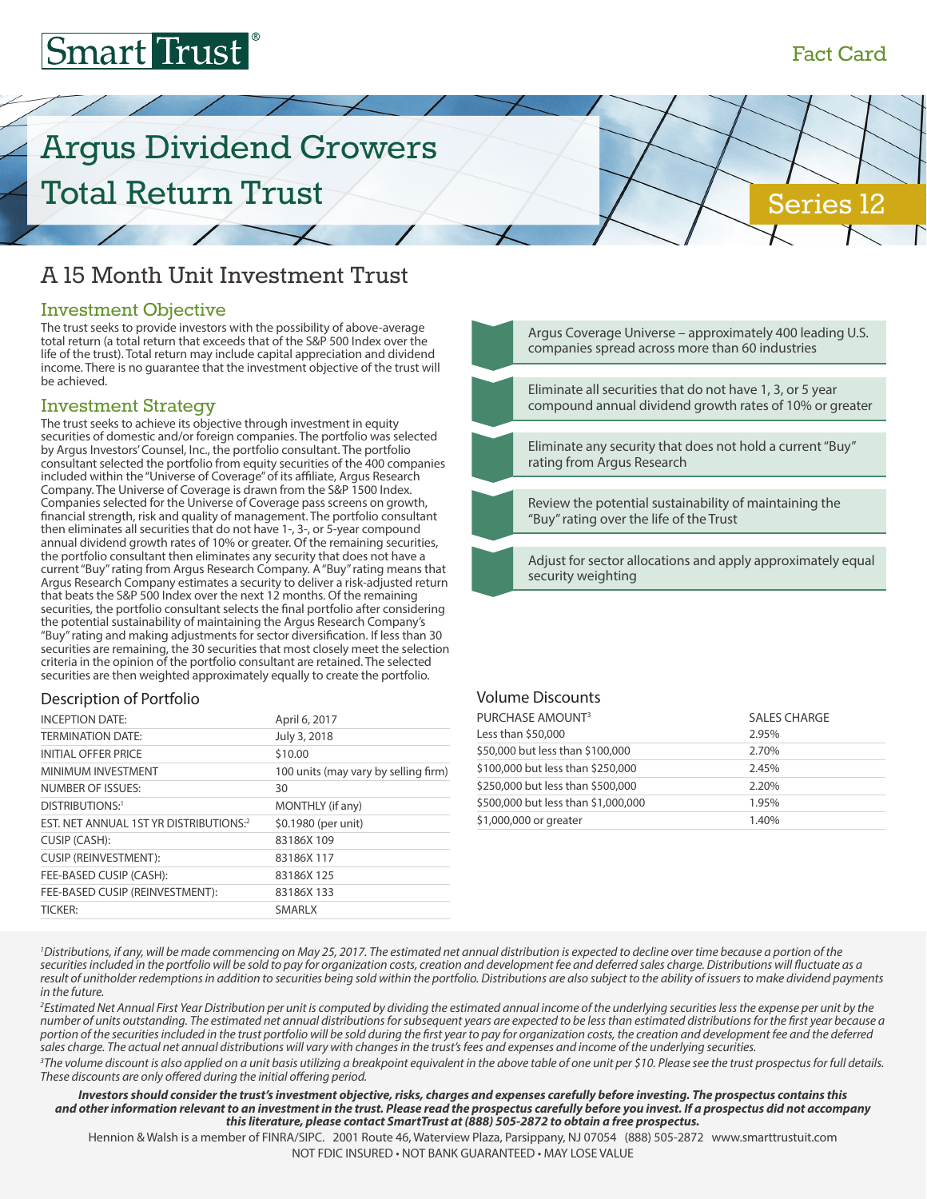## Fact Card

Series 12

# **Smart Trust**

# Argus Dividend Growers Total Return Trust

## A 15 Month Unit Investment Trust

#### Investment Objective

The trust seeks to provide investors with the possibility of above-average total return (a total return that exceeds that of the S&P 500 Index over the life of the trust). Total return may include capital appreciation and dividend income. There is no guarantee that the investment objective of the trust will be achieved.

### Investment Strategy

The trust seeks to achieve its objective through investment in equity securities of domestic and/or foreign companies. The portfolio was selected by Argus Investors' Counsel, Inc., the portfolio consultant. The portfolio consultant selected the portfolio from equity securities of the 400 companies included within the "Universe of Coverage" of its affiliate, Argus Research Company. The Universe of Coverage is drawn from the S&P 1500 Index. Companies selected for the Universe of Coverage pass screens on growth, financial strength, risk and quality of management. The portfolio consultant then eliminates all securities that do not have 1-, 3-, or 5-year compound annual dividend growth rates of 10% or greater. Of the remaining securities, the portfolio consultant then eliminates any security that does not have a current "Buy" rating from Argus Research Company. A "Buy" rating means that Argus Research Company estimates a security to deliver a risk-adjusted return that beats the S&P 500 Index over the next 12 months. Of the remaining securities, the portfolio consultant selects the final portfolio after considering the potential sustainability of maintaining the Argus Research Company's "Buy" rating and making adjustments for sector diversification. If less than 30 securities are remaining, the 30 securities that most closely meet the selection criteria in the opinion of the portfolio consultant are retained. The selected securities are then weighted approximately equally to create the portfolio.

#### Description of Portfolio

| <b>INCEPTION DATE:</b>                 | April 6, 2017                        |
|----------------------------------------|--------------------------------------|
| <b>TERMINATION DATE:</b>               | July 3, 2018                         |
| <b>INITIAL OFFER PRICE</b>             | \$10.00                              |
| MINIMUM INVESTMENT                     | 100 units (may vary by selling firm) |
| NUMBER OF ISSUES:                      | 30                                   |
| DISTRIBUTIONS:1                        | MONTHLY (if any)                     |
| EST. NET ANNUAL 1ST YR DISTRIBUTIONS:2 | \$0.1980 (per unit)                  |
| CUSIP (CASH):                          | 83186X109                            |
| <b>CUSIP (REINVESTMENT):</b>           | 83186X117                            |
| FEE-BASED CUSIP (CASH):                | 83186X125                            |
| FEE-BASED CUSIP (REINVESTMENT):        | 83186X133                            |
| <b>TICKER:</b>                         | <b>SMARLX</b>                        |



#### Volume Discounts

| PURCHASE AMOUNT <sup>3</sup><br>Less than \$50,000 | <b>SALES CHARGE</b><br>2.95% |
|----------------------------------------------------|------------------------------|
| \$50,000 but less than \$100,000                   | 2.70%                        |
| \$100,000 but less than \$250,000                  | 2.45%                        |
| \$250,000 but less than \$500,000                  | 2.20%                        |
| \$500,000 but less than \$1,000,000                | 1.95%                        |
| \$1,000,000 or greater                             | 1.40%                        |
|                                                    |                              |

<sup>1</sup>Distributions, if any, will be made commencing on May 25, 2017. The estimated net annual distribution is expected to decline over time because a portion of the *securities included in the portfolio will be sold to pay for organization costs, creation and development fee and deferred sales charge. Distributions will fluctuate as a result of unitholder redemptions in addition to securities being sold within the portfolio. Distributions are also subject to the ability of issuers to make dividend payments in the future.*

<sup>2</sup> Estimated Net Annual First Year Distribution per unit is computed by dividing the estimated annual income of the underlying securities less the expense per unit by the *number of units outstanding. The estimated net annual distributions for subsequent years are expected to be less than estimated distributions for the first year because a portion of the securities included in the trust portfolio will be sold during the first year to pay for organization costs, the creation and development fee and the deferred sales charge. The actual net annual distributions will vary with changes in the trust's fees and expenses and income of the underlying securities.*

*3 The volume discount is also applied on a unit basis utilizing a breakpoint equivalent in the above table of one unit per \$10. Please see the trust prospectus for full details. These discounts are only offered during the initial offering period.*

*Investors should consider the trust's investment objective, risks, charges and expenses carefully before investing. The prospectus contains this and other information relevant to an investment in the trust. Please read the prospectus carefully before you invest. If a prospectus did not accompany this literature, please contact SmartTrust at (888) 505-2872 to obtain a free prospectus.*

Hennion & Walsh is a member of FINRA/SIPC. 2001 Route 46, Waterview Plaza, Parsippany, NJ 07054 (888) 505-2872 www.smarttrustuit.com NOT FDIC INSURED • NOT BANK GUARANTEED • MAY LOSE VALUE